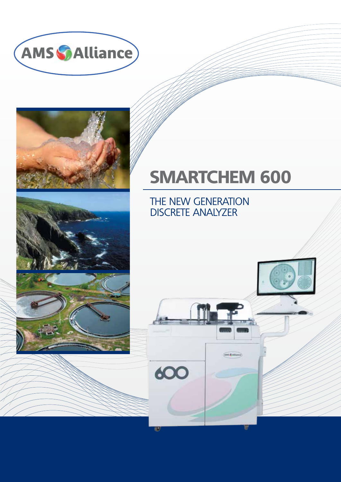



## **SMARTCHEM 600**

**ANS CAILING** 

THE NEW GENERATION DISCRETE ANALYZER

600

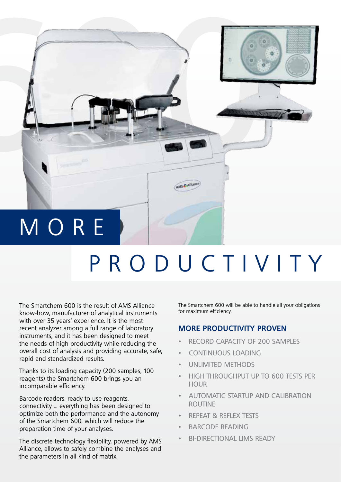

## PRODUCTIVITY

The Smartchem 600 is the result of AMS Alliance know-how, manufacturer of analytical instruments with over 35 years' experience. It is the most recent analyzer among a full range of laboratory instruments, and it has been designed to meet the needs of high productivity while reducing the overall cost of analysis and providing accurate, safe, rapid and standardized results.

Thanks to its loading capacity (200 samples, 100 reagents) the Smartchem 600 brings you an incomparable efficiency.

Barcode readers, ready to use reagents, connectivity … everything has been designed to optimize both the performance and the autonomy of the Smartchem 600, which will reduce the preparation time of your analyses.

The discrete technology flexibility, powered by AMS Alliance, allows to safely combine the analyses and the parameters in all kind of matrix.

The Smartchem 600 will be able to handle all your obligations for maximum efficiency.

### **MORE PRODUCTIVITY PROVEN**

- RECORD CAPACITY OF 200 SAMPLES
- CONTINUOUS LOADING
- UNLIMITED METHODS
- HIGH THROUGHPUT UP TO 600 TESTS PER **HOUR**
- AUTOMATIC STARTUP AND CALIBRATION ROUTINE
- REPEAT & REFLEX TESTS
- BARCODE READING
- BI-DIRECTIONAL LIMS READY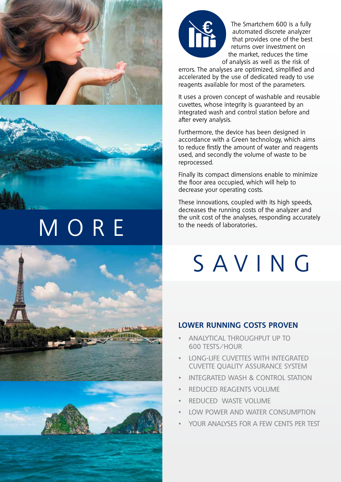



## **MORE**





The Smartchem 600 is a fully automated discrete analyzer that provides one of the best returns over investment on the market, reduces the time of analysis as well as the risk of

errors. The analyses are optimized, simplified and accelerated by the use of dedicated ready to use reagents available for most of the parameters.

It uses a proven concept of washable and reusable cuvettes, whose integrity is guaranteed by an integrated wash and control station before and after every analysis.

Furthermore, the device has been designed in accordance with a Green technology, which aims to reduce firstly the amount of water and reagents used, and secondly the volume of waste to be reprocessed.

Finally its compact dimensions enable to minimize the floor area occupied, which will help to decrease your operating costs.

These innovations, coupled with its high speeds, decreases the running costs of the analyzer and the unit cost of the analyses, responding accurately to the needs of laboratories..

## SAVING

### **LOWER RUNNING COSTS PROVEN**

- ANALYTICAL THROUGHPUT UP TO 600 TESTS/HOUR
- LONG-LIFE CUVETTES WITH INTEGRATED CUVETTE QUALITY ASSURANCE SYSTEM
- INTEGRATED WASH & CONTROL STATION
- REDUCED REAGENTS VOLUME
- REDUCED WASTE VOLUME
- LOW POWER AND WATER CONSUMPTION
- YOUR ANALYSES FOR A FEW CENTS PER TEST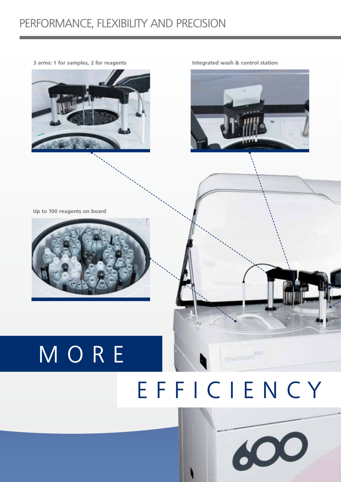### PERFORMANCE, FLEXIBILITY AND PRECISION



**Integrated wash & control station**



**Up to 100 reagents on board**



# MORE EFFICIENCY

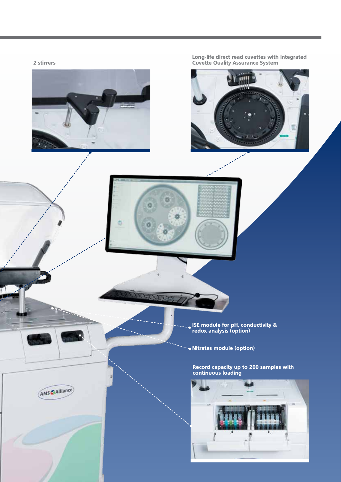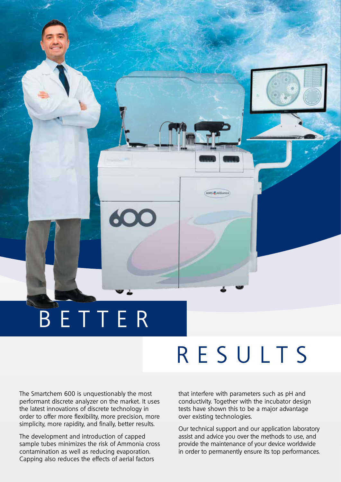# BETTER

600

# RESULTS

AMS & Alliance

The Smartchem 600 is unquestionably the most performant discrete analyzer on the market. It uses the latest innovations of discrete technology in order to offer more flexibility, more precision, more simplicity, more rapidity, and finally, better results.

The development and introduction of capped sample tubes minimizes the risk of Ammonia cross contamination as well as reducing evaporation. Capping also reduces the effects of aerial factors

#### that interfere with parameters such as pH and conductivity. Together with the incubator design tests have shown this to be a major advantage over existing technologies.

Our technical support and our application laboratory assist and advice you over the methods to use, and provide the maintenance of your device worldwide in order to permanently ensure its top performances.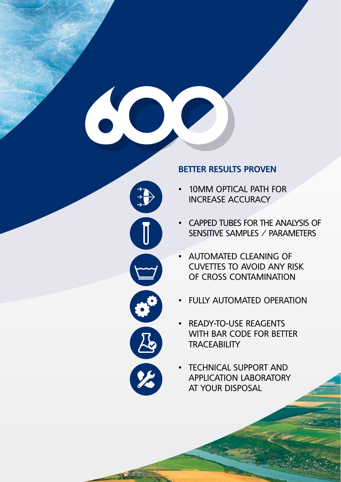

### **BETTER RESULTS PROVEN**

- 10MM OPTICAL PATH FOR INCREASE ACCURACY
- CAPPED TUBES FOR THE ANALYSIS OF SENSITIVE SAMPLES / PARAMETERS
- AUTOMATED CLEANING OF CUVETTES TO AVOID ANY RISK OF CROSS CONTAMINATION
- FULLY AUTOMATED OPERATION
- READY-TO-USE REAGENTS WITH BAR CODE FOR BETTER **TRACEABILITY**
- **TECHNICAL SUPPORT AND** APPLICATION LABORATORY AT YOUR DISPOSAL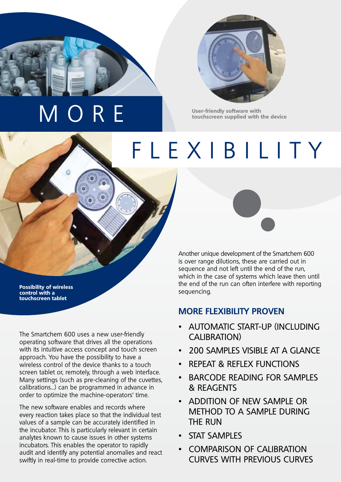# MORE



**User-friendly software with touchscreen supplied with the device**

# FLEXIBILITY

**Possibility of wireless control with a touchscreen tablet**

The Smartchem 600 uses a new user-friendly operating software that drives all the operations with its intuitive access concept and touch screen approach. You have the possibility to have a wireless control of the device thanks to a touch screen tablet or, remotely, through a web interface. Many settings (such as pre-cleaning of the cuvettes, calibrations…) can be programmed in advance in order to optimize the machine-operators' time.

The new software enables and records where every reaction takes place so that the individual test values of a sample can be accurately identified in the incubator. This is particularly relevant in certain analytes known to cause issues in other systems incubators. This enables the operator to rapidly audit and identify any potential anomalies and react swiftly in real-time to provide corrective action.



Another unique development of the Smartchem 600 is over range dilutions, these are carried out in sequence and not left until the end of the run, which in the case of systems which leave then until the end of the run can often interfere with reporting sequencing.

### **MORE FLEXIBILITY PROVEN**

- AUTOMATIC START-UP (INCLUDING CALIBRATION)
- 200 SAMPLES VISIBLE AT A GLANCE
- REPEAT & REFLEX FUNCTIONS
- BARCODE READING FOR SAMPLES & REAGENTS
- ADDITION OF NEW SAMPLE OR METHOD TO A SAMPLE DURING THE RUN
- STAT SAMPLES
- COMPARISON OF CALIBRATION CURVES WITH PREVIOUS CURVES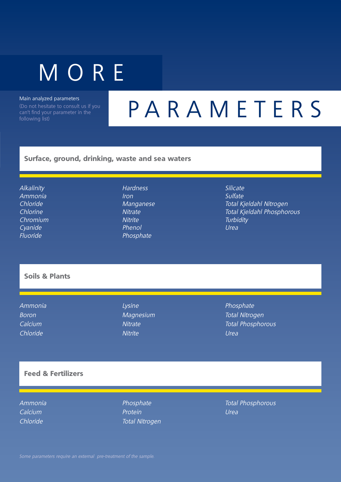# **MORE**

Main analyzed parameters

(Do not hesitate to consult us if you can't find your parameter in the following list)

## PARAMETERS

#### **Surface, ground, drinking, waste and sea waters**

**Alkalinity** Ammonia Chloride Chlorine Chromium Cyanide Fluoride

#### **Hardness** Iron Manganese **Nitrate Nitrite** Phenol Phosphate

Silicate Sulfate Total Kjeldahl Nitrogen Total Kjeldahl Phosphorous **Turbidity** Urea

### **Soils & Plants**

Ammonia Boron Calcium Chloride

Lysine Magnesium **Nitrate Nitrite** 

Phosphate Total Nitrogen Total Phosphorous Urea

### **Feed & Fertilizers**

Ammonia **Calcium** Chloride

Phosphate Protein Total Nitrogen Total Phosphorous Urea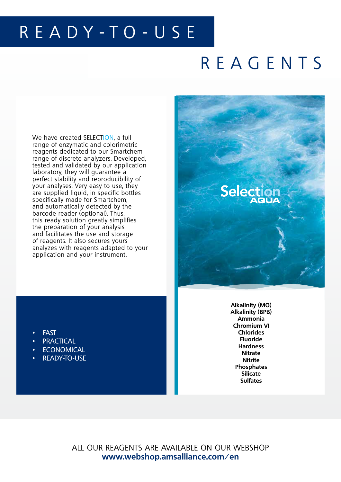### READY-TO-USE

### REAGENTS

We have created SELECTION, a full range of enzymatic and colorimetric reagents dedicated to our Smartchem range of discrete analyzers. Developed, tested and validated by our application laboratory, they will guarantee a perfect stability and reproducibility of your analyses. Very easy to use, they are supplied liquid, in specific bottles specifically made for Smartchem, and automatically detected by the barcode reader (optional). Thus, this ready solution greatly simplifies the preparation of your analysis and facilitates the use and storage of reagents. It also secures yours analyzes with reagents adapted to your application and your instrument.



- **FAST**
- **PRACTICAL**
- **ECONOMICAL**
- READY-TO-USE

**Alkalinity (MO) Alkalinity (BPB) Ammonia Chromium VI Chlorides Fluoride Hardness Nitrate Nitrite Phosphates Silicate Sulfates**

ALL OUR REAGENTS ARE AVAILABLE ON OUR WEBSHOP **www.webshop.amsalliance.com/en**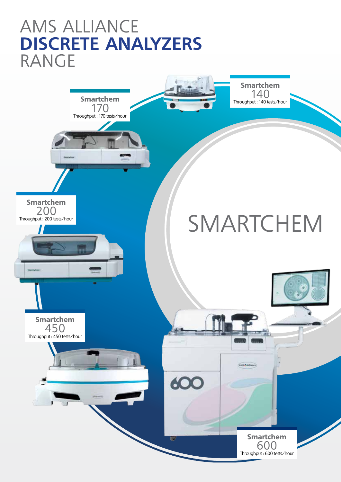### AMS ALLIANCE **DISCRETE ANALYZERS** RANGE